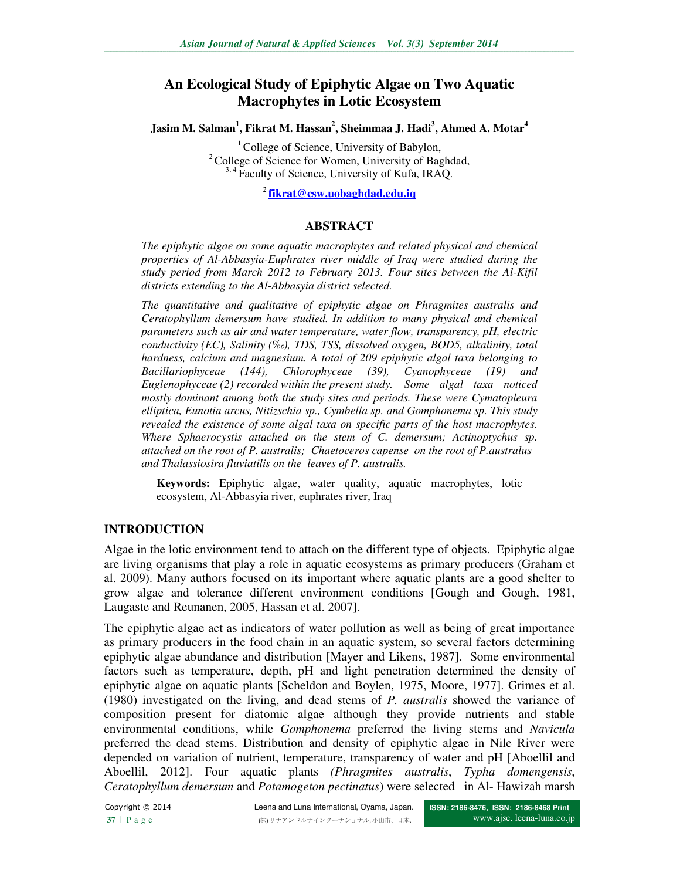# **An Ecological Study of Epiphytic Algae on Two Aquatic Macrophytes in Lotic Ecosystem**

**Jasim M. Salman<sup>1</sup> , Fikrat M. Hassan<sup>2</sup> , Sheimmaa J. Hadi<sup>3</sup> , Ahmed A. Motar<sup>4</sup>** 

<sup>1</sup> College of Science, University of Babylon, <sup>2</sup> College of Science for Women, University of Baghdad,  $3,4$  Faculty of Science, University of Kufa, IRAO.

<sup>2</sup>**fikrat@csw.uobaghdad.edu.iq**

### **ABSTRACT**

*The epiphytic algae on some aquatic macrophytes and related physical and chemical properties of Al-Abbasyia-Euphrates river middle of Iraq were studied during the study period from March 2012 to February 2013. Four sites between the Al-Kifil districts extending to the Al-Abbasyia district selected.* 

*The quantitative and qualitative of epiphytic algae on Phragmites australis and Ceratophyllum demersum have studied. In addition to many physical and chemical parameters such as air and water temperature, water flow, transparency, pH, electric conductivity (EC), Salinity (‰), TDS, TSS, dissolved oxygen, BOD5, alkalinity, total hardness, calcium and magnesium. A total of 209 epiphytic algal taxa belonging to Bacillariophyceae (144), Chlorophyceae (39), Cyanophyceae (19) and Euglenophyceae (2) recorded within the present study. Some algal taxa noticed mostly dominant among both the study sites and periods. These were Cymatopleura elliptica, Eunotia arcus, Nitizschia sp., Cymbella sp. and Gomphonema sp. This study revealed the existence of some algal taxa on specific parts of the host macrophytes. Where Sphaerocystis attached on the stem of C. demersum; Actinoptychus sp. attached on the root of P. australis; Chaetoceros capense on the root of P.australus and Thalassiosira fluviatilis on the leaves of P. australis.* 

**Keywords:** Epiphytic algae, water quality, aquatic macrophytes, lotic ecosystem, Al-Abbasyia river, euphrates river, Iraq

### **INTRODUCTION**

Algae in the lotic environment tend to attach on the different type of objects. Epiphytic algae are living organisms that play a role in aquatic ecosystems as primary producers (Graham et al. 2009). Many authors focused on its important where aquatic plants are a good shelter to grow algae and tolerance different environment conditions [Gough and Gough, 1981, Laugaste and Reunanen, 2005, Hassan et al. 2007].

The epiphytic algae act as indicators of water pollution as well as being of great importance as primary producers in the food chain in an aquatic system, so several factors determining epiphytic algae abundance and distribution [Mayer and Likens, 1987]. Some environmental factors such as temperature, depth, pH and light penetration determined the density of epiphytic algae on aquatic plants [Scheldon and Boylen, 1975, Moore, 1977]. Grimes et al. (1980) investigated on the living, and dead stems of *P. australis* showed the variance of composition present for diatomic algae although they provide nutrients and stable environmental conditions, while *Gomphonema* preferred the living stems and *Navicula* preferred the dead stems. Distribution and density of epiphytic algae in Nile River were depended on variation of nutrient, temperature, transparency of water and pH [Aboellil and Aboellil, 2012]. Four aquatic plants *(Phragmites australis*, *Typha domengensis*, *Ceratophyllum demersum* and *Potamogeton pectinatus*) were selected in Al- Hawizah marsh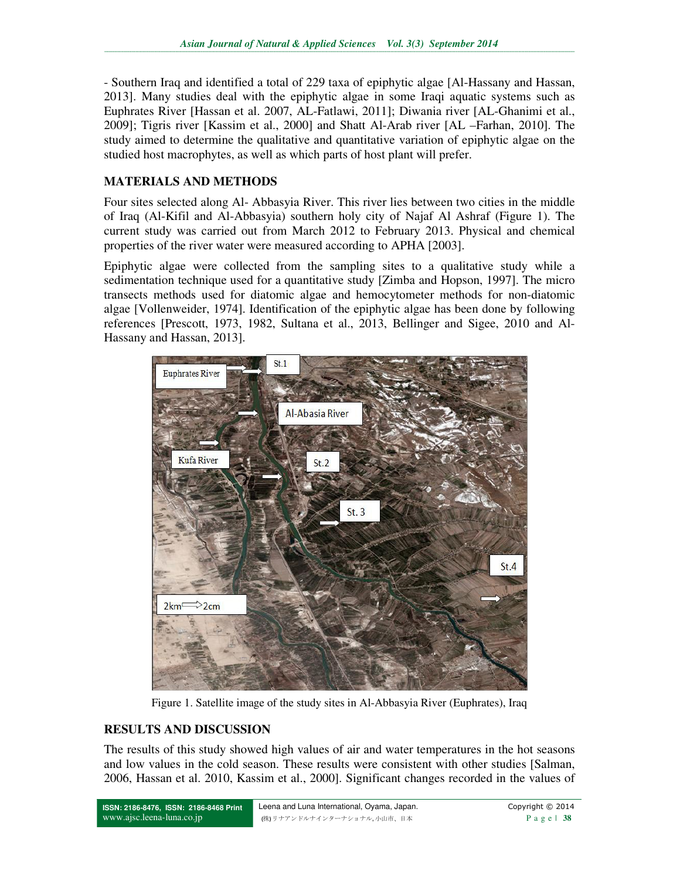- Southern Iraq and identified a total of 229 taxa of epiphytic algae [Al-Hassany and Hassan, 2013]. Many studies deal with the epiphytic algae in some Iraqi aquatic systems such as Euphrates River [Hassan et al. 2007, AL-Fatlawi, 2011]; Diwania river [AL-Ghanimi et al., 2009]; Tigris river [Kassim et al., 2000] and Shatt Al-Arab river [AL –Farhan, 2010]. The study aimed to determine the qualitative and quantitative variation of epiphytic algae on the studied host macrophytes, as well as which parts of host plant will prefer.

### **MATERIALS AND METHODS**

Four sites selected along Al- Abbasyia River. This river lies between two cities in the middle of Iraq (Al-Kifil and Al-Abbasyia) southern holy city of Najaf Al Ashraf (Figure 1). The current study was carried out from March 2012 to February 2013. Physical and chemical properties of the river water were measured according to APHA [2003].

Epiphytic algae were collected from the sampling sites to a qualitative study while a sedimentation technique used for a quantitative study [Zimba and Hopson, 1997]. The micro transects methods used for diatomic algae and hemocytometer methods for non-diatomic algae [Vollenweider, 1974]. Identification of the epiphytic algae has been done by following references [Prescott, 1973, 1982, Sultana et al., 2013, Bellinger and Sigee, 2010 and Al-Hassany and Hassan, 2013].



Figure 1. Satellite image of the study sites in Al-Abbasyia River (Euphrates), Iraq

## **RESULTS AND DISCUSSION**

The results of this study showed high values of air and water temperatures in the hot seasons and low values in the cold season. These results were consistent with other studies [Salman, 2006, Hassan et al. 2010, Kassim et al., 2000]. Significant changes recorded in the values of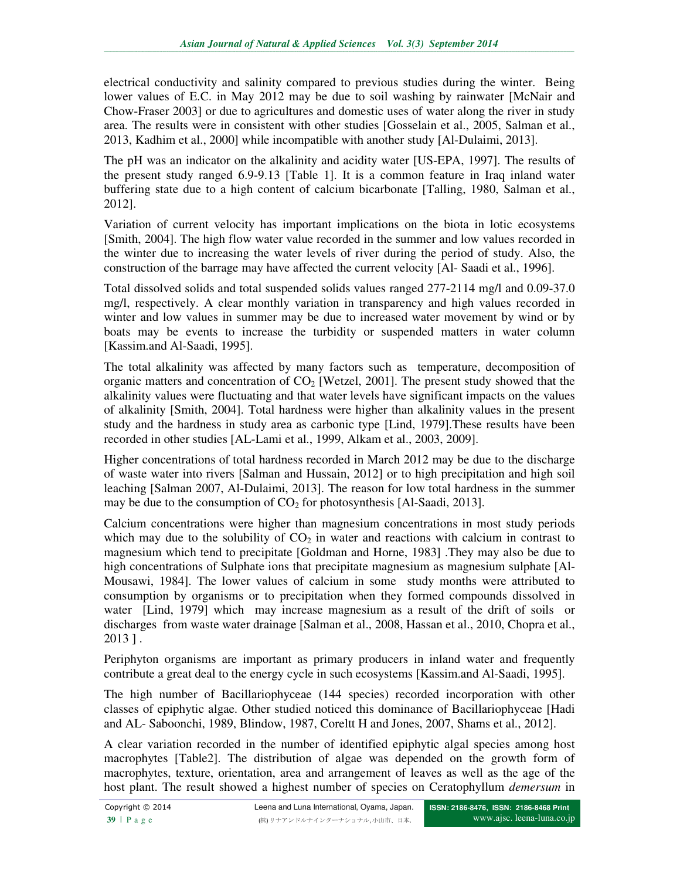electrical conductivity and salinity compared to previous studies during the winter. Being lower values of E.C. in May 2012 may be due to soil washing by rainwater [McNair and Chow-Fraser 2003] or due to agricultures and domestic uses of water along the river in study area. The results were in consistent with other studies [Gosselain et al., 2005, Salman et al., 2013, Kadhim et al., 2000] while incompatible with another study [Al-Dulaimi, 2013].

The pH was an indicator on the alkalinity and acidity water [US-EPA, 1997]. The results of the present study ranged 6.9-9.13 [Table 1]. It is a common feature in Iraq inland water buffering state due to a high content of calcium bicarbonate [Talling, 1980, Salman et al., 2012].

Variation of current velocity has important implications on the biota in lotic ecosystems [Smith, 2004]. The high flow water value recorded in the summer and low values recorded in the winter due to increasing the water levels of river during the period of study. Also, the construction of the barrage may have affected the current velocity [Al- Saadi et al., 1996].

Total dissolved solids and total suspended solids values ranged 277-2114 mg/l and 0.09-37.0 mg/l, respectively. A clear monthly variation in transparency and high values recorded in winter and low values in summer may be due to increased water movement by wind or by boats may be events to increase the turbidity or suspended matters in water column [Kassim.and Al-Saadi, 1995].

The total alkalinity was affected by many factors such as temperature, decomposition of organic matters and concentration of  $CO<sub>2</sub>$  [Wetzel, 2001]. The present study showed that the alkalinity values were fluctuating and that water levels have significant impacts on the values of alkalinity [Smith, 2004]. Total hardness were higher than alkalinity values in the present study and the hardness in study area as carbonic type [Lind, 1979].These results have been recorded in other studies [AL-Lami et al., 1999, Alkam et al., 2003, 2009].

Higher concentrations of total hardness recorded in March 2012 may be due to the discharge of waste water into rivers [Salman and Hussain, 2012] or to high precipitation and high soil leaching [Salman 2007, Al-Dulaimi, 2013]. The reason for low total hardness in the summer may be due to the consumption of  $CO<sub>2</sub>$  for photosynthesis [Al-Saadi, 2013].

Calcium concentrations were higher than magnesium concentrations in most study periods which may due to the solubility of  $CO<sub>2</sub>$  in water and reactions with calcium in contrast to magnesium which tend to precipitate [Goldman and Horne, 1983] .They may also be due to high concentrations of Sulphate ions that precipitate magnesium as magnesium sulphate [Al-Mousawi, 1984]. The lower values of calcium in some study months were attributed to consumption by organisms or to precipitation when they formed compounds dissolved in water [Lind, 1979] which may increase magnesium as a result of the drift of soils or discharges from waste water drainage [Salman et al., 2008, Hassan et al., 2010, Chopra et al., 2013 ] .

Periphyton organisms are important as primary producers in inland water and frequently contribute a great deal to the energy cycle in such ecosystems [Kassim.and Al-Saadi, 1995].

The high number of Bacillariophyceae (144 species) recorded incorporation with other classes of epiphytic algae. Other studied noticed this dominance of Bacillariophyceae [Hadi and AL- Saboonchi, 1989, Blindow, 1987, Coreltt H and Jones, 2007, Shams et al., 2012].

A clear variation recorded in the number of identified epiphytic algal species among host macrophytes [Table2]. The distribution of algae was depended on the growth form of macrophytes, texture, orientation, area and arrangement of leaves as well as the age of the host plant. The result showed a highest number of species on Ceratophyllum *demersum* in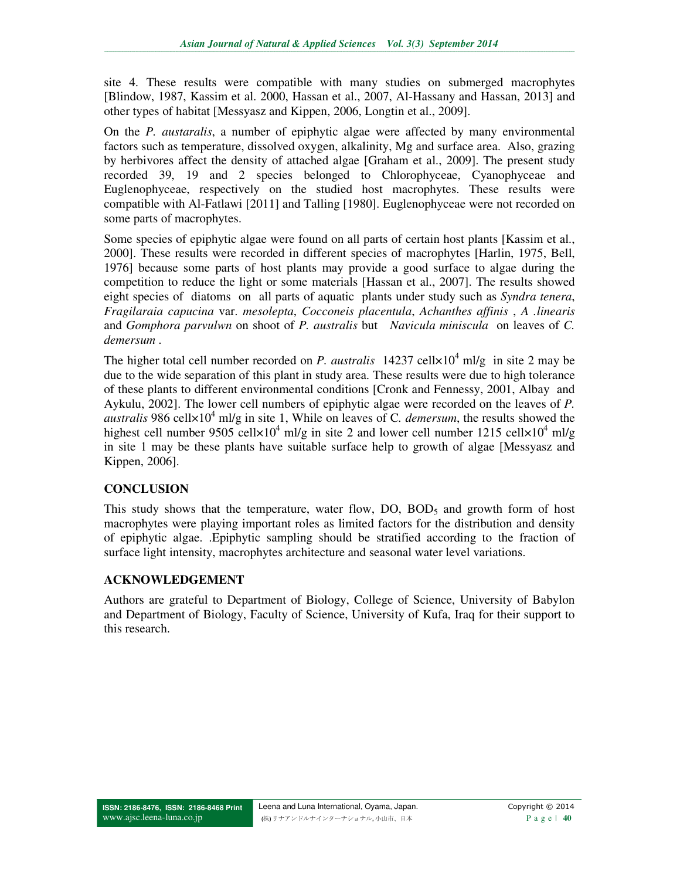site 4. These results were compatible with many studies on submerged macrophytes [Blindow, 1987, Kassim et al. 2000, Hassan et al., 2007, Al-Hassany and Hassan, 2013] and other types of habitat [Messyasz and Kippen, 2006, Longtin et al., 2009].

On the *P. austaralis*, a number of epiphytic algae were affected by many environmental factors such as temperature, dissolved oxygen, alkalinity, Mg and surface area. Also, grazing by herbivores affect the density of attached algae [Graham et al., 2009]. The present study recorded 39, 19 and 2 species belonged to Chlorophyceae, Cyanophyceae and Euglenophyceae, respectively on the studied host macrophytes. These results were compatible with Al-Fatlawi [2011] and Talling [1980]. Euglenophyceae were not recorded on some parts of macrophytes.

Some species of epiphytic algae were found on all parts of certain host plants [Kassim et al., 2000]. These results were recorded in different species of macrophytes [Harlin, 1975, Bell, 1976] because some parts of host plants may provide a good surface to algae during the competition to reduce the light or some materials [Hassan et al., 2007]. The results showed eight species of diatoms on all parts of aquatic plants under study such as *Syndra tenera*, *Fragilaraia capucina* var. *mesolepta*, *Cocconeis placentula*, *Achanthes affinis* , *A .linearis* and *Gomphora parvulwn* on shoot of *P. australis* but *Navicula miniscula* on leaves of *C. demersum* .

The higher total cell number recorded on *P. australis*  $14237$  cell $\times 10^4$  ml/g in site 2 may be due to the wide separation of this plant in study area. These results were due to high tolerance of these plants to different environmental conditions [Cronk and Fennessy, 2001, Albay and Aykulu, 2002]. The lower cell numbers of epiphytic algae were recorded on the leaves of *P. australis* 986 cell×10<sup>4</sup> ml/g in site 1, While on leaves of C*. demersum*, the results showed the highest cell number 9505 cell $\times$ 10<sup>4</sup> ml/g in site 2 and lower cell number 1215 cell $\times$ 10<sup>4</sup> ml/g in site 1 may be these plants have suitable surface help to growth of algae [Messyasz and Kippen, 2006].

### **CONCLUSION**

This study shows that the temperature, water flow,  $DO$ ,  $BOD<sub>5</sub>$  and growth form of host macrophytes were playing important roles as limited factors for the distribution and density of epiphytic algae. .Epiphytic sampling should be stratified according to the fraction of surface light intensity, macrophytes architecture and seasonal water level variations.

### **ACKNOWLEDGEMENT**

Authors are grateful to Department of Biology, College of Science, University of Babylon and Department of Biology, Faculty of Science, University of Kufa, Iraq for their support to this research.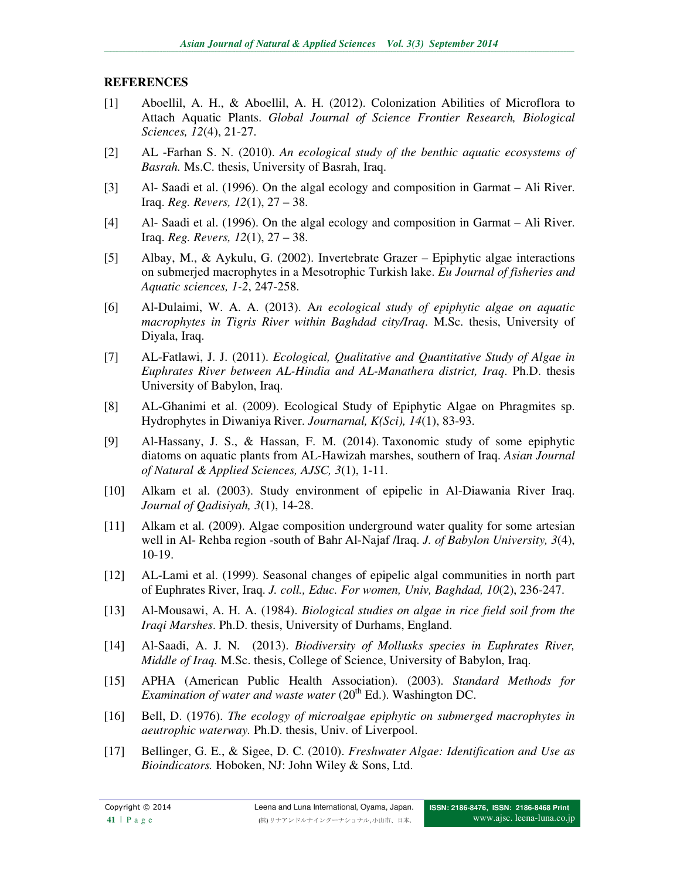### **REFERENCES**

- [1] Aboellil, A. H., & Aboellil, A. H. (2012). Colonization Abilities of Microflora to Attach Aquatic Plants. *Global Journal of Science Frontier Research, Biological Sciences, 12*(4), 21-27.
- [2] AL -Farhan S. N. (2010). *An ecological study of the benthic aquatic ecosystems of Basrah.* Ms.C. thesis, University of Basrah, Iraq.
- [3] Al- Saadi et al. (1996). On the algal ecology and composition in Garmat Ali River. Iraq. *Reg. Revers, 12*(1), 27 – 38.
- [4] Al- Saadi et al. (1996). On the algal ecology and composition in Garmat Ali River. Iraq. *Reg. Revers, 12*(1), 27 – 38.
- [5] Albay, M., & Aykulu, G. (2002). Invertebrate Grazer Epiphytic algae interactions on submerjed macrophytes in a Mesotrophic Turkish lake. *Eu Journal of fisheries and Aquatic sciences, 1-2*, 247-258.
- [6] Al-Dulaimi, W. A. A. (2013). A*n ecological study of epiphytic algae on aquatic macrophytes in Tigris River within Baghdad city/Iraq*. M.Sc. thesis, University of Diyala, Iraq.
- [7] AL-Fatlawi, J. J. (2011). *Ecological, Qualitative and Quantitative Study of Algae in Euphrates River between AL-Hindia and AL-Manathera district, Iraq*. Ph.D. thesis University of Babylon, Iraq.
- [8] AL-Ghanimi et al. (2009). Ecological Study of Epiphytic Algae on Phragmites sp. Hydrophytes in Diwaniya River. *Journarnal, K(Sci), 14*(1), 83-93.
- [9] Al-Hassany, J. S., & Hassan, F. M. (2014). Taxonomic study of some epiphytic diatoms on aquatic plants from AL-Hawizah marshes, southern of Iraq. *Asian Journal of Natural & Applied Sciences, AJSC, 3*(1), 1-11.
- [10] Alkam et al. (2003). Study environment of epipelic in Al-Diawania River Iraq. *Journal of Qadisiyah, 3*(1), 14-28.
- [11] Alkam et al. (2009). Algae composition underground water quality for some artesian well in Al- Rehba region -south of Bahr Al-Najaf /Iraq. *J. of Babylon University, 3*(4), 10-19.
- [12] AL-Lami et al. (1999). Seasonal changes of epipelic algal communities in north part of Euphrates River, Iraq. *J. coll., Educ. For women, Univ, Baghdad, 10*(2), 236-247.
- [13] Al-Mousawi, A. H. A. (1984). *Biological studies on algae in rice field soil from the Iraqi Marshes*. Ph.D. thesis, University of Durhams, England.
- [14] Al-Saadi, A. J. N. (2013). *Biodiversity of Mollusks species in Euphrates River, Middle of Iraq.* M.Sc. thesis, College of Science, University of Babylon, Iraq.
- [15] APHA (American Public Health Association). (2003). *Standard Methods for Examination of water and waste water* (20<sup>th</sup> Ed.). Washington DC.
- [16] Bell, D. (1976). *The ecology of microalgae epiphytic on submerged macrophytes in aeutrophic waterway.* Ph.D. thesis, Univ. of Liverpool.
- [17] Bellinger, G. E., & Sigee, D. C. (2010). *Freshwater Algae: Identification and Use as Bioindicators.* Hoboken, NJ: John Wiley & Sons, Ltd.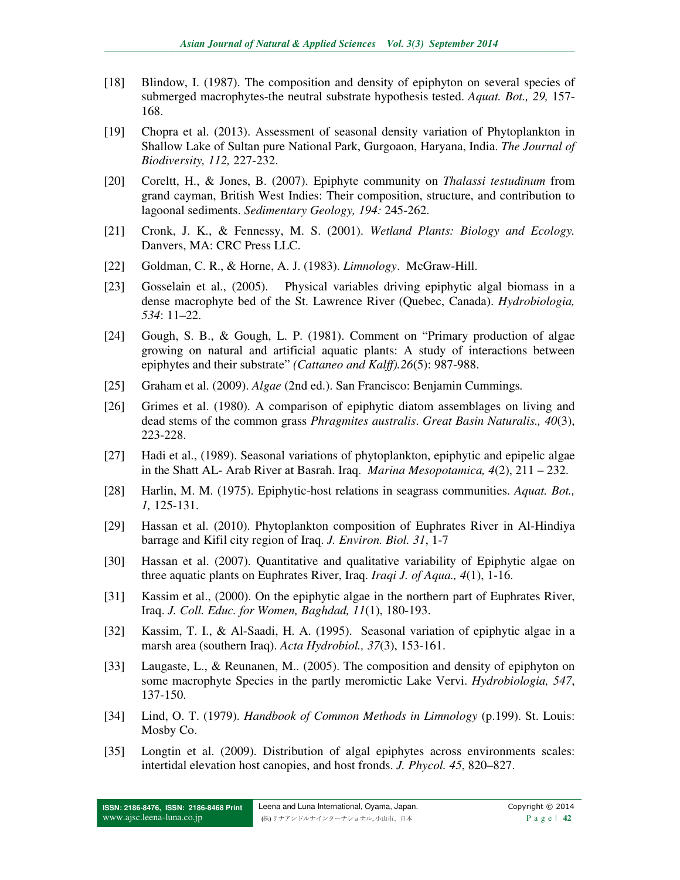- [18] Blindow, I. (1987). The composition and density of epiphyton on several species of submerged macrophytes-the neutral substrate hypothesis tested. *Aquat. Bot., 29,* 157- 168.
- [19] Chopra et al. (2013). Assessment of seasonal density variation of Phytoplankton in Shallow Lake of Sultan pure National Park, Gurgoaon, Haryana, India. *The Journal of Biodiversity, 112,* 227-232.
- [20] Coreltt, H., & Jones, B. (2007). Epiphyte community on *Thalassi testudinum* from grand cayman, British West Indies: Their composition, structure, and contribution to lagoonal sediments. *Sedimentary Geology, 194:* 245-262.
- [21] Cronk, J. K., & Fennessy, M. S. (2001). *Wetland Plants: Biology and Ecology.* Danvers, MA: CRC Press LLC.
- [22] Goldman, C. R., & Horne, A. J. (1983). *Limnology*. McGraw-Hill.
- [23] Gosselain et al., (2005). Physical variables driving epiphytic algal biomass in a dense macrophyte bed of the St. Lawrence River (Quebec, Canada). *Hydrobiologia, 534*: 11–22.
- [24] Gough, S. B., & Gough, L. P. (1981). Comment on "Primary production of algae growing on natural and artificial aquatic plants: A study of interactions between epiphytes and their substrate" *(Cattaneo and Kalff).26*(5): 987-988.
- [25] Graham et al. (2009). *Algae* (2nd ed.). San Francisco: Benjamin Cummings*.*
- [26] Grimes et al. (1980). A comparison of epiphytic diatom assemblages on living and dead stems of the common grass *Phragmites australis*. *Great Basin Naturalis., 40*(3), 223-228.
- [27] Hadi et al., (1989). Seasonal variations of phytoplankton, epiphytic and epipelic algae in the Shatt AL- Arab River at Basrah. Iraq. *Marina Mesopotamica, 4*(2), 211 – 232.
- [28] Harlin, M. M. (1975). Epiphytic-host relations in seagrass communities. *Aquat. Bot., 1,* 125-131.
- [29] Hassan et al. (2010). Phytoplankton composition of Euphrates River in Al-Hindiya barrage and Kifil city region of Iraq. *J. Environ. Biol. 31*, 1-7
- [30] Hassan et al. (2007). Quantitative and qualitative variability of Epiphytic algae on three aquatic plants on Euphrates River, Iraq. *Iraqi J. of Aqua., 4*(1), 1-16.
- [31] Kassim et al., (2000). On the epiphytic algae in the northern part of Euphrates River, Iraq. *J. Coll. Educ. for Women, Baghdad, 11*(1), 180-193.
- [32] Kassim, T. I., & Al-Saadi, H. A. (1995). Seasonal variation of epiphytic algae in a marsh area (southern Iraq). *Acta Hydrobiol., 37*(3), 153-161.
- [33] Laugaste, L., & Reunanen, M.. (2005). The composition and density of epiphyton on some macrophyte Species in the partly meromictic Lake Vervi. *Hydrobiologia, 547*, 137-150.
- [34] Lind, O. T. (1979). *Handbook of Common Methods in Limnology* (p.199). St. Louis: Mosby Co.
- [35] Longtin et al. (2009). Distribution of algal epiphytes across environments scales: intertidal elevation host canopies, and host fronds. *J. Phycol. 45*, 820–827.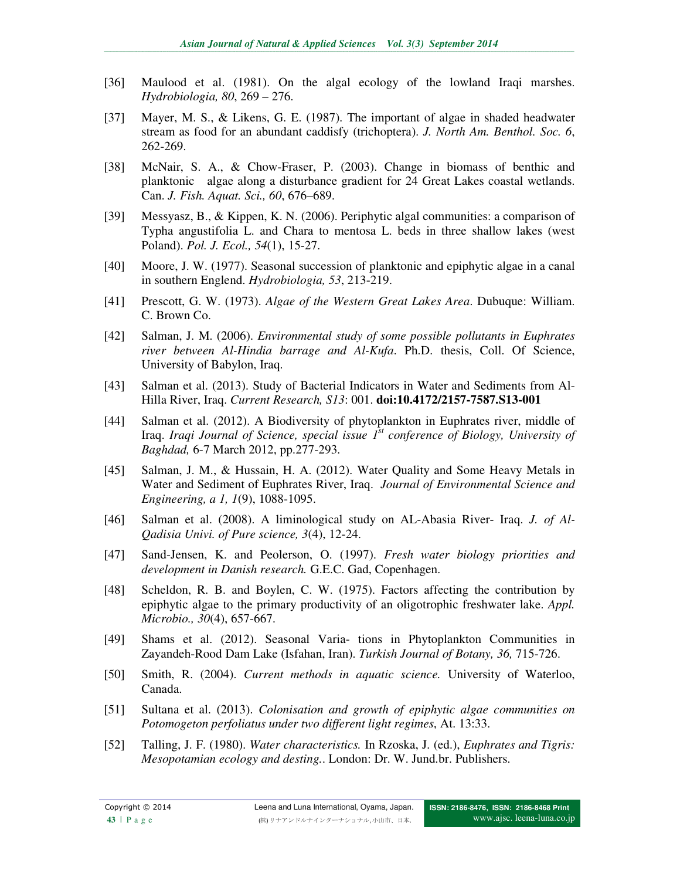- [36] Maulood et al. (1981). On the algal ecology of the lowland Iraqi marshes. *Hydrobiologia, 80*, 269 – 276.
- [37] Mayer, M. S., & Likens, G. E. (1987). The important of algae in shaded headwater stream as food for an abundant caddisfy (trichoptera). *J. North Am. Benthol. Soc. 6*, 262-269.
- [38] McNair, S. A., & Chow-Fraser, P. (2003). Change in biomass of benthic and planktonic algae along a disturbance gradient for 24 Great Lakes coastal wetlands. Can. *J. Fish. Aquat. Sci., 60*, 676–689.
- [39] Messyasz, B., & Kippen, K. N. (2006). Periphytic algal communities: a comparison of Typha angustifolia L. and Chara to mentosa L. beds in three shallow lakes (west Poland). *Pol. J. Ecol., 54*(1), 15-27.
- [40] Moore, J. W. (1977). Seasonal succession of planktonic and epiphytic algae in a canal in southern Englend. *Hydrobiologia, 53*, 213-219.
- [41] Prescott, G. W. (1973). *Algae of the Western Great Lakes Area*. Dubuque: William. C. Brown Co.
- [42] Salman, J. M. (2006). *Environmental study of some possible pollutants in Euphrates river between Al-Hindia barrage and Al-Kufa*. Ph.D. thesis, Coll. Of Science, University of Babylon, Iraq.
- [43] Salman et al. (2013). Study of Bacterial Indicators in Water and Sediments from Al-Hilla River, Iraq. *Current Research, S13*: 001. **doi:10.4172/2157-7587.S13-001**
- [44] Salman et al. (2012). A Biodiversity of phytoplankton in Euphrates river, middle of Iraq. *Iraqi Journal of Science, special issue 1st conference of Biology, University of Baghdad,* 6-7 March 2012, pp.277-293.
- [45] Salman, J. M., & Hussain, H. A. (2012). Water Quality and Some Heavy Metals in Water and Sediment of Euphrates River, Iraq. *Journal of Environmental Science and Engineering, a 1, 1*(9), 1088-1095.
- [46] Salman et al. (2008). A liminological study on AL-Abasia River- Iraq. *J. of Al-Qadisia Univi. of Pure science, 3*(4), 12-24.
- [47] Sand-Jensen, K. and Peolerson, O. (1997). *Fresh water biology priorities and development in Danish research.* G.E.C. Gad, Copenhagen.
- [48] Scheldon, R. B. and Boylen, C. W. (1975). Factors affecting the contribution by epiphytic algae to the primary productivity of an oligotrophic freshwater lake. *Appl. Microbio., 30*(4), 657-667.
- [49] Shams et al. (2012). Seasonal Varia- tions in Phytoplankton Communities in Zayandeh-Rood Dam Lake (Isfahan, Iran). *Turkish Journal of Botany, 36,* 715-726.
- [50] Smith, R. (2004). *Current methods in aquatic science.* University of Waterloo, Canada.
- [51] Sultana et al. (2013). *Colonisation and growth of epiphytic algae communities on Potomogeton perfoliatus under two different light regimes*, At. 13:33.
- [52] Talling, J. F. (1980). *Water characteristics.* In Rzoska, J. (ed.), *Euphrates and Tigris: Mesopotamian ecology and desting.*. London: Dr. W. Jund.br. Publishers.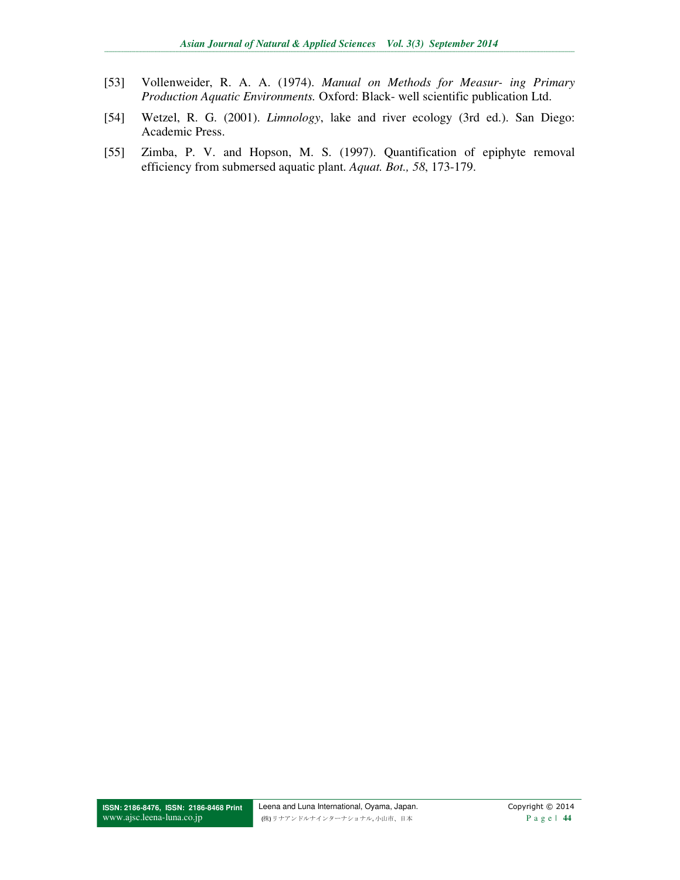- Vollenweider, R. A. A. (1974). Manual on Methods for Measur- ing Primary  $[53]$ Production Aquatic Environments. Oxford: Black- well scientific publication Ltd.
- Wetzel, R. G. (2001). Limnology, lake and river ecology (3rd ed.). San Diego:  $[54]$ Academic Press.
- Zimba, P. V. and Hopson, M. S. (1997). Quantification of epiphyte removal  $[55]$ efficiency from submersed aquatic plant. Aquat. Bot., 58, 173-179.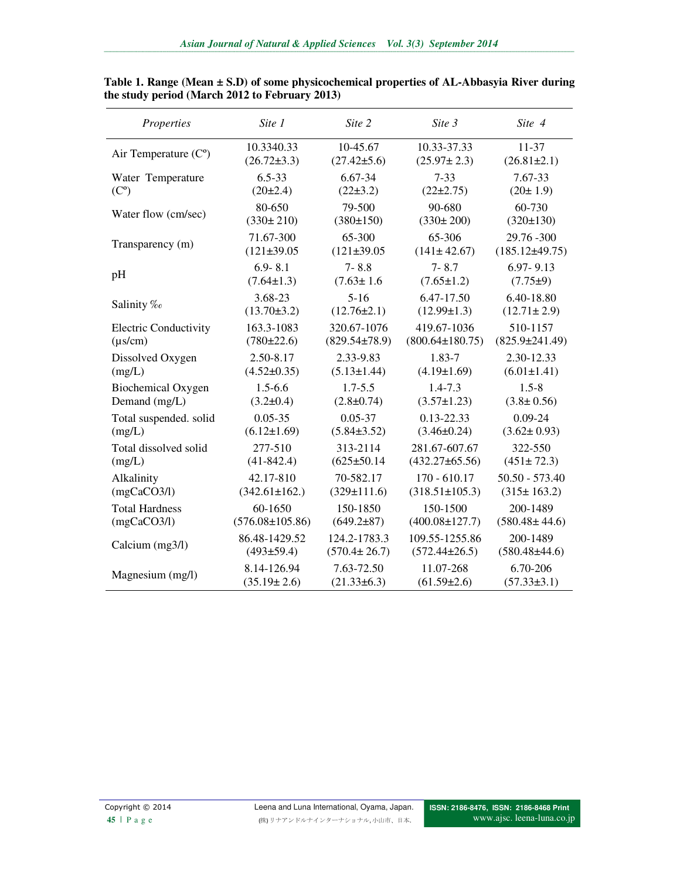| Properties                   | Site 1                | Site 2              | Site 3                | Site 4               |
|------------------------------|-----------------------|---------------------|-----------------------|----------------------|
| Air Temperature $(Co)$       | 10.3340.33            | 10-45.67            | 10.33-37.33           | 11-37                |
|                              | $(26.72 \pm 3.3)$     | $(27.42 \pm 5.6)$   | $(25.97 \pm 2.3)$     | $(26.81 \pm 2.1)$    |
| Water Temperature            | $6.5 - 33$            | 6.67-34             | $7 - 33$              | 7.67-33              |
| (C <sup>o</sup> )            | (20±2.4)              | $(22\pm3.2)$        | $(22\pm 2.75)$        | (20±1.9)             |
| Water flow (cm/sec)          | 80-650                | 79-500              | 90-680                | 60-730               |
|                              | $(330 \pm 210)$       | (380±150)           | $(330 \pm 200)$       | (320±130)            |
| Transparency (m)             | 71.67-300             | 65-300              | 65-306                | 29.76 - 300          |
|                              | $(121\pm 39.05$       | $(121\pm 39.05$     | $(141 \pm 42.67)$     | $(185.12\pm49.75)$   |
| pH                           | $6.9 - 8.1$           | $7 - 8.8$           | $7 - 8.7$             | $6.97 - 9.13$        |
|                              | $(7.64 \pm 1.3)$      | $(7.63 \pm 1.6)$    | $(7.65 \pm 1.2)$      | $(7.75 \pm 9)$       |
| Salinity ‰                   | 3.68-23               | $5 - 16$            | 6.47-17.50            | 6.40-18.80           |
|                              | $(13.70 \pm 3.2)$     | $(12.76 \pm 2.1)$   | $(12.99 \pm 1.3)$     | $(12.71 \pm 2.9)$    |
| <b>Electric Conductivity</b> | 163.3-1083            | 320.67-1076         | 419.67-1036           | 510-1157             |
| $(\mu s/cm)$                 | (780±22.6)            | $(829.54 \pm 78.9)$ | $(800.64 \pm 180.75)$ | $(825.9 \pm 241.49)$ |
| Dissolved Oxygen             | 2.50-8.17             | 2.33-9.83           | 1.83-7                | 2.30-12.33           |
| (mg/L)                       | $(4.52 \pm 0.35)$     | $(5.13 \pm 1.44)$   | $(4.19 \pm 1.69)$     | $(6.01 \pm 1.41)$    |
| <b>Biochemical Oxygen</b>    | $1.5 - 6.6$           | $1.7 - 5.5$         | $1.4 - 7.3$           | $1.5 - 8$            |
| Demand (mg/L)                | $(3.2 \pm 0.4)$       | $(2.8 \pm 0.74)$    | $(3.57 \pm 1.23)$     | $(3.8 \pm 0.56)$     |
| Total suspended. solid       | $0.05 - 35$           | $0.05 - 37$         | $0.13 - 22.33$        | $0.09 - 24$          |
| (mg/L)                       | $(6.12 \pm 1.69)$     | $(5.84 \pm 3.52)$   | $(3.46 \pm 0.24)$     | $(3.62 \pm 0.93)$    |
| Total dissolved solid        | 277-510               | 313-2114            | 281.67-607.67         | 322-550              |
| (mg/L)                       | $(41-842.4)$          | $(625 \pm 50.14$    | $(432.27 \pm 65.56)$  | $(451 \pm 72.3)$     |
| Alkalinity                   | 42.17-810             | 70-582.17           | $170 - 610.17$        | $50.50 - 573.40$     |
| (mgCaCO3/l)                  | $(342.61 \pm 162.)$   | $(329 \pm 111.6)$   | $(318.51 \pm 105.3)$  | $(315 \pm 163.2)$    |
| <b>Total Hardness</b>        | 60-1650               | 150-1850            | 150-1500              | 200-1489             |
| (mgCaCO3/l)                  | $(576.08 \pm 105.86)$ | $(649.2 \pm 87)$    | $(400.08 \pm 127.7)$  | $(580.48 \pm 44.6)$  |
| Calcium (mg3/l)              | 86.48-1429.52         | 124.2-1783.3        | 109.55-1255.86        | 200-1489             |
|                              | (493±59.4)            | $(570.4 \pm 26.7)$  | $(572.44 \pm 26.5)$   | $(580.48\pm44.6)$    |
| Magnesium (mg/l)             | 8.14-126.94           | 7.63-72.50          | 11.07-268             | 6.70-206             |
|                              | $(35.19 \pm 2.6)$     | $(21.33\pm 6.3)$    | $(61.59 \pm 2.6)$     | $(57.33\pm3.1)$      |

**Table 1. Range (Mean ± S.D) of some physicochemical properties of AL-Abbasyia River during the study period (March 2012 to February 2013)**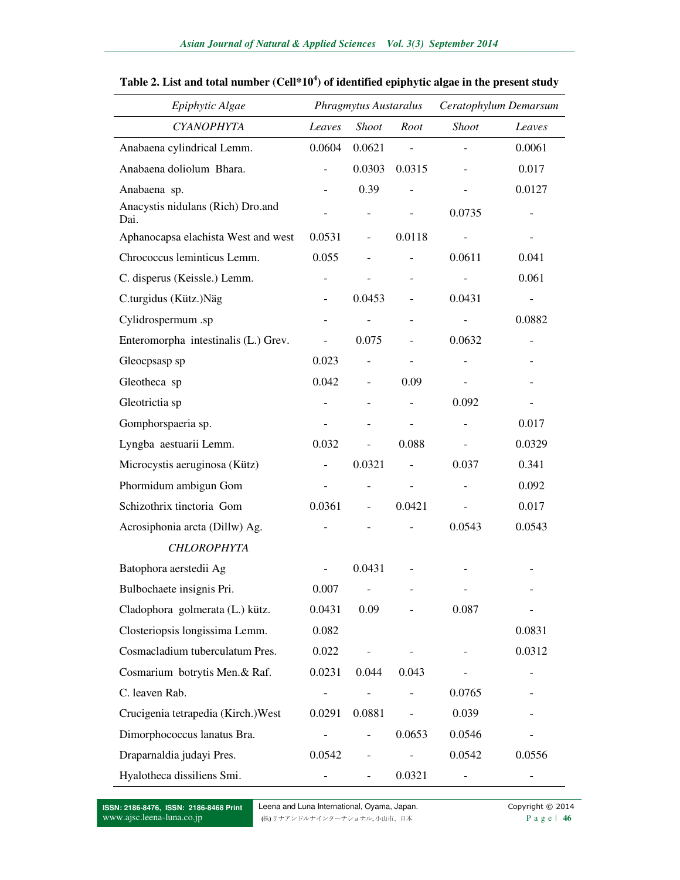| Epiphytic Algae                           |        | Phragmytus Austaralus        |                          | Ceratophylum Demarsum    |                          |
|-------------------------------------------|--------|------------------------------|--------------------------|--------------------------|--------------------------|
| <b>CYANOPHYTA</b>                         | Leaves | <i>Shoot</i>                 | Root                     | <b>Shoot</b>             | Leaves                   |
| Anabaena cylindrical Lemm.                | 0.0604 | 0.0621                       | $\equiv$                 |                          | 0.0061                   |
| Anabaena doliolum Bhara.                  |        | 0.0303                       | 0.0315                   |                          | 0.017                    |
| Anabaena sp.                              |        | 0.39                         |                          |                          | 0.0127                   |
| Anacystis nidulans (Rich) Dro.and<br>Dai. |        |                              | $\overline{\phantom{m}}$ | 0.0735                   |                          |
| Aphanocapsa elachista West and west       | 0.0531 | $\overline{\phantom{a}}$     | 0.0118                   |                          |                          |
| Chrococcus leminticus Lemm.               | 0.055  |                              |                          | 0.0611                   | 0.041                    |
| C. disperus (Keissle.) Lemm.              |        |                              | $\overline{\phantom{0}}$ |                          | 0.061                    |
| C.turgidus (Kütz.)Näg                     |        | 0.0453                       |                          | 0.0431                   |                          |
| Cylidrospermum .sp                        |        |                              | $\overline{\phantom{0}}$ |                          | 0.0882                   |
| Enteromorpha intestinalis (L.) Grev.      |        | 0.075                        |                          | 0.0632                   | $\overline{\phantom{a}}$ |
| Gleocpsasp sp                             | 0.023  | $\overline{\phantom{a}}$     | $\overline{\phantom{a}}$ | $\overline{\phantom{0}}$ | $\overline{\phantom{0}}$ |
| Gleotheca sp                              | 0.042  | $\overline{\phantom{a}}$     | 0.09                     | $\overline{\phantom{a}}$ |                          |
| Gleotrictia sp                            |        |                              |                          | 0.092                    |                          |
| Gomphorspaeria sp.                        |        |                              |                          |                          | 0.017                    |
| Lyngba aestuarii Lemm.                    | 0.032  |                              | 0.088                    |                          | 0.0329                   |
| Microcystis aeruginosa (Kütz)             |        | 0.0321                       |                          | 0.037                    | 0.341                    |
| Phormidum ambigun Gom                     |        | $\qquad \qquad -$            | $\overline{a}$           |                          | 0.092                    |
| Schizothrix tinctoria Gom                 | 0.0361 | $\overline{\phantom{a}}$     | 0.0421                   |                          | 0.017                    |
| Acrosiphonia arcta (Dillw) Ag.            |        |                              |                          | 0.0543                   | 0.0543                   |
| <b>CHLOROPHYTA</b>                        |        |                              |                          |                          |                          |
| Batophora aerstedii Ag                    |        | 0.0431                       |                          |                          |                          |
| Bulbochaete insignis Pri.                 | 0.007  |                              |                          |                          |                          |
| Cladophora golmerata (L.) kütz.           | 0.0431 | 0.09                         |                          | 0.087                    |                          |
| Closteriopsis longissima Lemm.            | 0.082  |                              |                          |                          | 0.0831                   |
| Cosmacladium tuberculatum Pres.           | 0.022  |                              |                          |                          | 0.0312                   |
| Cosmarium botrytis Men.& Raf.             | 0.0231 | 0.044                        | 0.043                    |                          |                          |
| C. leaven Rab.                            |        |                              |                          | 0.0765                   |                          |
| Crucigenia tetrapedia (Kirch.) West       | 0.0291 | 0.0881                       | $\overline{\phantom{0}}$ | 0.039                    |                          |
| Dimorphococcus lanatus Bra.               |        | $\qquad \qquad -$            | 0.0653                   | 0.0546                   |                          |
| Draparnaldia judayi Pres.                 | 0.0542 | $\qquad \qquad \blacksquare$ |                          | 0.0542                   | 0.0556                   |
| Hyalotheca dissiliens Smi.                |        |                              | 0.0321                   |                          |                          |

#### **Table 2. List and total number (Cell\*10<sup>4</sup> ) of identified epiphytic algae in the present study**

**ISSN: 2186-8476, ISSN: 2186-8468 Print**  www.ajsc.leena-luna.co.jp

Leena and Luna International, Oyama, Japan. Copyright © 2014 (株) リナアンドルナインターナショナル, 小山市、日本 P a g e | **46**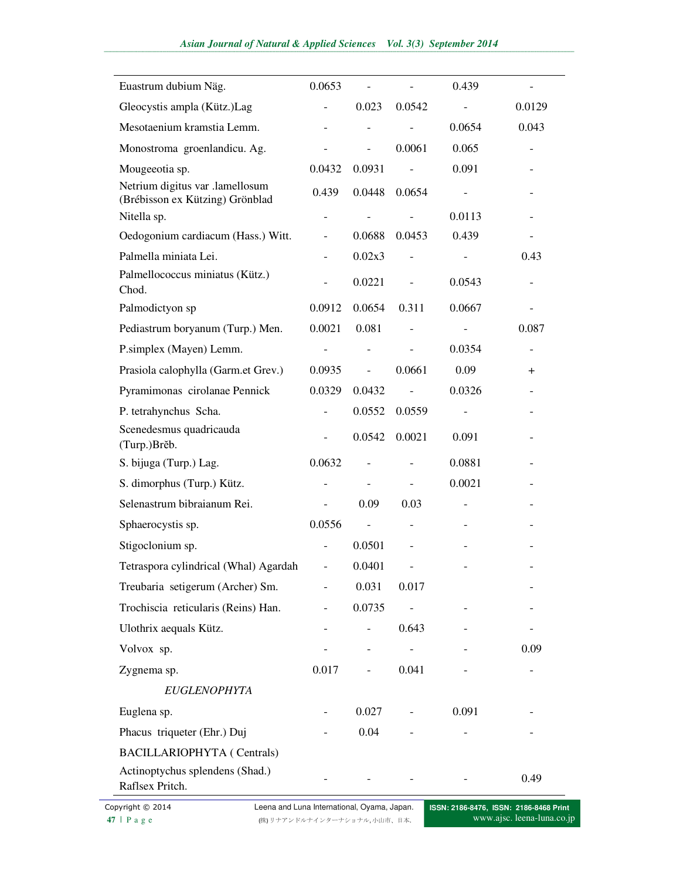| Euastrum dubium Näg.                                               | 0.0653                   |        |                | 0.439  |        |
|--------------------------------------------------------------------|--------------------------|--------|----------------|--------|--------|
| Gleocystis ampla (Kütz.)Lag                                        |                          | 0.023  | 0.0542         |        | 0.0129 |
| Mesotaenium kramstia Lemm.                                         |                          |        |                | 0.0654 | 0.043  |
| Monostroma groenlandicu. Ag.                                       |                          |        | 0.0061         | 0.065  |        |
| Mougeeotia sp.                                                     | 0.0432                   | 0.0931 |                | 0.091  |        |
| Netrium digitus var .lamellosum<br>(Brébisson ex Kützing) Grönblad | 0.439                    | 0.0448 | 0.0654         |        |        |
| Nitella sp.                                                        |                          |        |                | 0.0113 |        |
| Oedogonium cardiacum (Hass.) Witt.                                 |                          | 0.0688 | 0.0453         | 0.439  |        |
| Palmella miniata Lei.                                              |                          | 0.02x3 |                |        | 0.43   |
| Palmellococcus miniatus (Kütz.)<br>Chod.                           |                          | 0.0221 |                | 0.0543 |        |
| Palmodictyon sp                                                    | 0.0912                   | 0.0654 | 0.311          | 0.0667 |        |
| Pediastrum boryanum (Turp.) Men.                                   | 0.0021                   | 0.081  |                |        | 0.087  |
| P.simplex (Mayen) Lemm.                                            |                          |        |                | 0.0354 |        |
| Prasiola calophylla (Garm.et Grev.)                                | 0.0935                   |        | 0.0661         | 0.09   | $\pm$  |
| Pyramimonas cirolanae Pennick                                      | 0.0329                   | 0.0432 | $\overline{a}$ | 0.0326 |        |
| P. tetrahynchus Scha.                                              |                          | 0.0552 | 0.0559         |        |        |
| Scenedesmus quadricauda<br>(Turp.)Brěb.                            |                          | 0.0542 | 0.0021         | 0.091  |        |
| S. bijuga (Turp.) Lag.                                             | 0.0632                   |        |                | 0.0881 |        |
| S. dimorphus (Turp.) Kütz.                                         |                          |        |                | 0.0021 |        |
| Selenastrum bibraianum Rei.                                        |                          | 0.09   | 0.03           |        |        |
| Sphaerocystis sp.                                                  | 0.0556                   |        |                |        |        |
| Stigoclonium sp.                                                   |                          | 0.0501 |                |        |        |
| Tetraspora cylindrical (Whal) Agardah                              |                          | 0.0401 |                |        |        |
| Treubaria setigerum (Archer) Sm.                                   | $\overline{\phantom{a}}$ | 0.031  | 0.017          |        |        |
| Trochiscia reticularis (Reins) Han.                                |                          | 0.0735 | $\Box$         |        |        |
| Ulothrix aequals Kütz.                                             |                          |        | 0.643          |        |        |
| Volvox sp.                                                         |                          |        | $\blacksquare$ |        | 0.09   |
| Zygnema sp.                                                        | 0.017                    |        | 0.041          |        |        |
| <b>EUGLENOPHYTA</b>                                                |                          |        |                |        |        |
| Euglena sp.                                                        |                          | 0.027  |                | 0.091  |        |
| Phacus triqueter (Ehr.) Duj                                        |                          | 0.04   |                |        |        |
| <b>BACILLARIOPHYTA</b> (Centrals)                                  |                          |        |                |        |        |
| Actinoptychus splendens (Shad.)<br>Raflsex Pritch.                 |                          |        |                |        | 0.49   |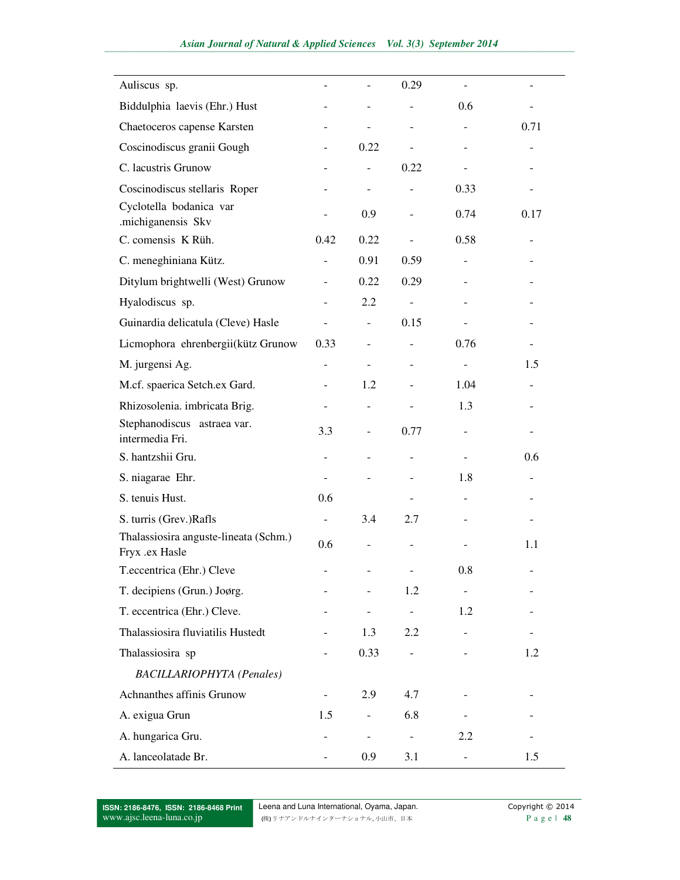| Auliscus sp.                                            |                          |                          | 0.29                     |                          |      |
|---------------------------------------------------------|--------------------------|--------------------------|--------------------------|--------------------------|------|
| Biddulphia laevis (Ehr.) Hust                           |                          |                          |                          | 0.6                      |      |
| Chaetoceros capense Karsten                             | -                        | -                        | ۰                        | $\overline{\phantom{a}}$ | 0.71 |
| Coscinodiscus granii Gough                              |                          | 0.22                     |                          |                          |      |
| C. lacustris Grunow                                     |                          |                          | 0.22                     |                          |      |
| Coscinodiscus stellaris Roper                           |                          |                          |                          | 0.33                     |      |
| Cyclotella bodanica var<br>.michiganensis Skv           |                          | 0.9                      |                          | 0.74                     | 0.17 |
| C. comensis K Rüh.                                      | 0.42                     | 0.22                     | $\overline{\phantom{a}}$ | 0.58                     |      |
| C. meneghiniana Kütz.                                   | $\overline{a}$           | 0.91                     | 0.59                     |                          |      |
| Ditylum brightwelli (West) Grunow                       |                          | 0.22                     | 0.29                     |                          |      |
| Hyalodiscus sp.                                         | $\overline{\phantom{0}}$ | 2.2                      | $\blacksquare$           |                          |      |
| Guinardia delicatula (Cleve) Hasle                      |                          |                          | 0.15                     |                          |      |
| Licmophora ehrenbergii(kütz Grunow                      | 0.33                     |                          |                          | 0.76                     |      |
| M. jurgensi Ag.                                         | $\overline{a}$           | $\overline{a}$           |                          | $\frac{1}{2}$            | 1.5  |
| M.cf. spaerica Setch.ex Gard.                           |                          | 1.2                      |                          | 1.04                     |      |
| Rhizosolenia. imbricata Brig.                           |                          |                          |                          | 1.3                      |      |
| Stephanodiscus astraea var.<br>intermedia Fri.          | 3.3                      | $\bar{\phantom{a}}$      | 0.77                     |                          |      |
| S. hantzshii Gru.                                       |                          |                          |                          |                          | 0.6  |
| S. niagarae Ehr.                                        | $\overline{a}$           |                          |                          | 1.8                      |      |
| S. tenuis Hust.                                         | 0.6                      |                          |                          |                          |      |
| S. turris (Grev.)Rafls                                  | $\overline{\phantom{a}}$ | 3.4                      | 2.7                      |                          |      |
| Thalassiosira anguste-lineata (Schm.)<br>Fryx .ex Hasle | 0.6                      |                          |                          |                          | 1.1  |
| T.eccentrica (Ehr.) Cleve                               |                          |                          |                          | 0.8                      |      |
| T. decipiens (Grun.) Joørg.                             |                          |                          | 1.2                      | $\overline{\phantom{a}}$ |      |
| T. eccentrica (Ehr.) Cleve.                             |                          |                          | $\blacksquare$           | 1.2                      |      |
| Thalassiosira fluviatilis Hustedt                       |                          | 1.3                      | 2.2                      |                          |      |
| Thalassiosira sp                                        |                          | 0.33                     | $\overline{\phantom{0}}$ |                          | 1.2  |
| <b>BACILLARIOPHYTA</b> (Penales)                        |                          |                          |                          |                          |      |
| Achnanthes affinis Grunow                               |                          | 2.9                      | 4.7                      |                          |      |
| A. exigua Grun                                          | 1.5                      |                          | 6.8                      |                          |      |
| A. hungarica Gru.                                       |                          | $\overline{\phantom{a}}$ |                          | 2.2                      |      |
| A. lanceolatade Br.                                     |                          | 0.9                      | 3.1                      |                          | 1.5  |

**ISSN: 2186-8476, ISSN: 2186-8468 Print**  www.ajsc.leena-luna.co.jp

Leena and Luna International, Oyama, Japan. Copyright © 2014 (株) リナアンドルナインターナショナル, 小山市、日本 P a g e | **48**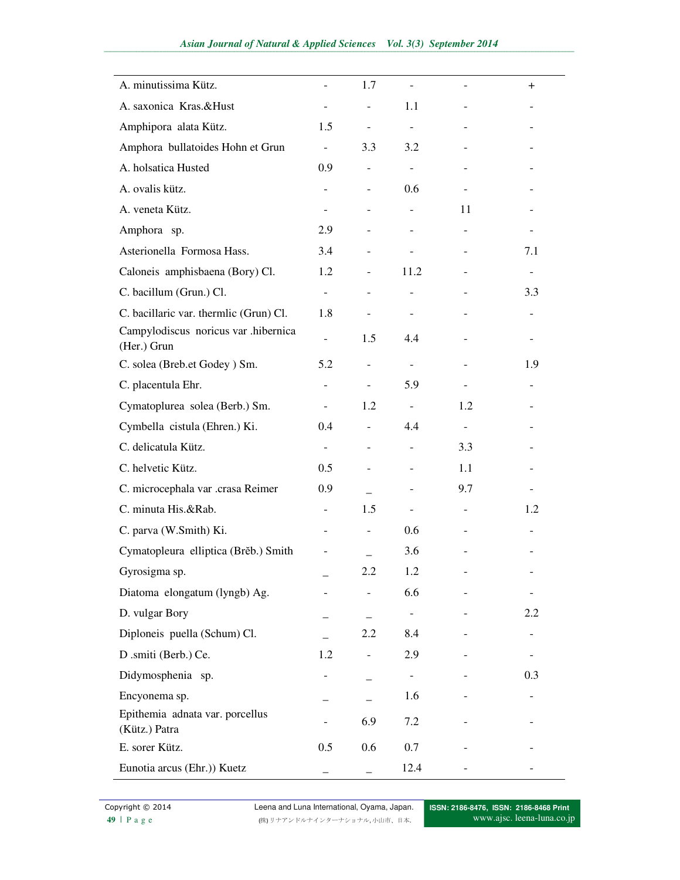| A. minutissima Kütz.                                |                          | 1.7                      |                          |                          | $\pm$                    |
|-----------------------------------------------------|--------------------------|--------------------------|--------------------------|--------------------------|--------------------------|
| A. saxonica Kras.&Hust                              |                          |                          | 1.1                      |                          |                          |
| Amphipora alata Kütz.                               | 1.5                      | $\overline{\phantom{a}}$ | $\overline{\phantom{a}}$ |                          |                          |
| Amphora bullatoides Hohn et Grun                    | $\overline{\phantom{a}}$ | 3.3                      | 3.2                      |                          |                          |
| A. holsatica Husted                                 | 0.9                      |                          | $\overline{\phantom{a}}$ |                          |                          |
| A. ovalis kütz.                                     |                          |                          | 0.6                      |                          |                          |
| A. veneta Kütz.                                     |                          |                          |                          | 11                       |                          |
| Amphora sp.                                         | 2.9                      |                          |                          |                          |                          |
| Asterionella Formosa Hass.                          | 3.4                      |                          |                          |                          | 7.1                      |
| Caloneis amphisbaena (Bory) Cl.                     | 1.2                      |                          | 11.2                     |                          | $\overline{\phantom{a}}$ |
| C. bacillum (Grun.) Cl.                             | $\overline{\phantom{a}}$ |                          |                          |                          | 3.3                      |
| C. bacillaric var. thermlic (Grun) Cl.              | 1.8                      |                          |                          |                          |                          |
| Campylodiscus noricus var .hibernica<br>(Her.) Grun |                          | 1.5                      | 4.4                      |                          |                          |
| C. solea (Breb.et Godey) Sm.                        | 5.2                      |                          |                          |                          | 1.9                      |
| C. placentula Ehr.                                  |                          |                          | 5.9                      |                          |                          |
| Cymatoplurea solea (Berb.) Sm.                      |                          | 1.2                      | $\blacksquare$           | 1.2                      |                          |
| Cymbella cistula (Ehren.) Ki.                       | 0.4                      |                          | 4.4                      | $\overline{\phantom{a}}$ |                          |
| C. delicatula Kütz.                                 | $\overline{\phantom{a}}$ |                          |                          | 3.3                      |                          |
| C. helvetic Kütz.                                   | 0.5                      |                          |                          | 1.1                      |                          |
| C. microcephala var .crasa Reimer                   | 0.9                      |                          |                          | 9.7                      |                          |
| C. minuta His.&Rab.                                 |                          | 1.5                      |                          |                          | 1.2                      |
| C. parva (W.Smith) Ki.                              |                          |                          | 0.6                      |                          |                          |
| Cymatopleura elliptica (Brěb.) Smith                |                          |                          | 3.6                      |                          |                          |
| Gyrosigma sp.                                       |                          | 2.2                      | 1.2                      |                          | $\qquad \qquad -$        |
| Diatoma elongatum (lyngb) Ag.                       |                          |                          | 6.6                      |                          |                          |
| D. vulgar Bory                                      |                          |                          | $\overline{\phantom{0}}$ |                          | 2.2                      |
| Diploneis puella (Schum) Cl.                        |                          | 2.2                      | 8.4                      |                          |                          |
| D.smiti (Berb.) Ce.                                 | 1.2                      |                          | 2.9                      |                          |                          |
| Didymosphenia sp.                                   |                          |                          |                          |                          | 0.3                      |
| Encyonema sp.                                       |                          |                          | 1.6                      |                          |                          |
| Epithemia adnata var. porcellus<br>(Kütz.) Patra    |                          | 6.9                      | 7.2                      |                          |                          |
| E. sorer Kütz.                                      | 0.5                      | 0.6                      | 0.7                      |                          |                          |
| Eunotia arcus (Ehr.)) Kuetz                         |                          |                          | 12.4                     |                          |                          |

**Copyright © 2014** Leena and Luna International, Oyama, Japan.<br>
49 | P a g e  $(\n\# y + \n\# z) + \n\# z$ **49** | P a g e (株) リナアンドルナインターナショナル, 小山市、日本.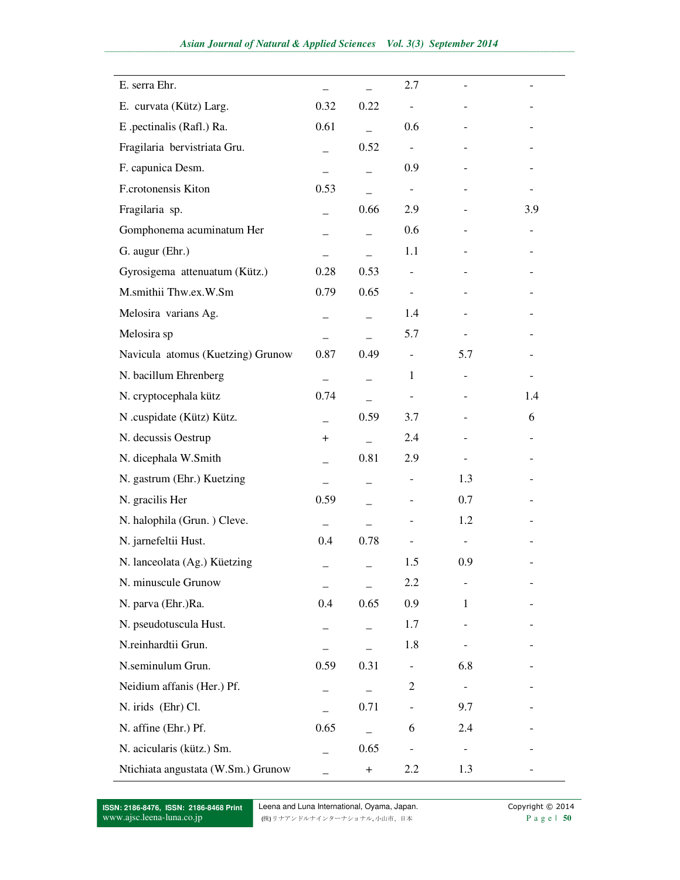| E. serra Ehr.                      |      |           | 2.7                      |               |     |
|------------------------------------|------|-----------|--------------------------|---------------|-----|
| E. curvata (Kütz) Larg.            | 0.32 | 0.22      |                          |               |     |
| E .pectinalis (Rafl.) Ra.          | 0.61 |           | 0.6                      |               |     |
| Fragilaria bervistriata Gru.       |      | 0.52      | $\overline{\phantom{a}}$ |               |     |
| F. capunica Desm.                  |      |           | 0.9                      |               |     |
| F.crotonensis Kiton                | 0.53 |           | $\overline{\phantom{a}}$ |               |     |
| Fragilaria sp.                     |      | 0.66      | 2.9                      |               | 3.9 |
| Gomphonema acuminatum Her          |      |           | 0.6                      |               |     |
| G. augur (Ehr.)                    |      |           | 1.1                      |               |     |
| Gyrosigema attenuatum (Kütz.)      | 0.28 | 0.53      |                          |               |     |
| M.smithii Thw.ex.W.Sm              | 0.79 | 0.65      |                          |               |     |
| Melosira varians Ag.               |      |           | 1.4                      |               |     |
| Melosira sp                        |      |           | 5.7                      |               |     |
| Navicula atomus (Kuetzing) Grunow  | 0.87 | 0.49      | $\overline{\phantom{a}}$ | 5.7           |     |
| N. bacillum Ehrenberg              |      |           | $\mathbf{1}$             |               |     |
| N. cryptocephala kütz              | 0.74 |           |                          |               | 1.4 |
| N .cuspidate (Kütz) Kütz.          |      | 0.59      | 3.7                      |               | 6   |
| N. decussis Oestrup                | $+$  |           | 2.4                      |               |     |
| N. dicephala W.Smith               |      | 0.81      | 2.9                      |               |     |
| N. gastrum (Ehr.) Kuetzing         |      |           |                          | 1.3           |     |
| N. gracilis Her                    | 0.59 |           |                          | 0.7           |     |
| N. halophila (Grun.) Cleve.        |      |           |                          | 1.2           |     |
| N. jarnefeltii Hust.               | 0.4  | 0.78      |                          |               |     |
| N. lanceolata (Ag.) Küetzing       |      |           | 1.5                      | 0.9           |     |
| N. minuscule Grunow                |      |           | 2.2                      |               |     |
| N. parva (Ehr.)Ra.                 | 0.4  | 0.65      | 0.9                      | $\mathbf{1}$  |     |
| N. pseudotuscula Hust.             |      |           | 1.7                      |               |     |
| N.reinhardtii Grun.                |      |           | 1.8                      |               |     |
| N.seminulum Grun.                  | 0.59 | 0.31      | $\overline{\phantom{0}}$ | 6.8           |     |
| Neidium affanis (Her.) Pf.         |      |           | $\overline{c}$           | $\frac{1}{2}$ |     |
| N. irids (Ehr) Cl.                 |      | 0.71      | $\overline{\phantom{0}}$ | 9.7           |     |
| N. affine (Ehr.) Pf.               | 0.65 |           | 6                        | 2.4           |     |
| N. acicularis (kütz.) Sm.          |      | 0.65      | $\blacksquare$           |               |     |
| Ntichiata angustata (W.Sm.) Grunow |      | $\ddot{}$ | 2.2                      | 1.3           |     |

**ISSN: 2186-8476, ISSN: 2186-8468 Print**  www.ajsc.leena-luna.co.jp

Leena and Luna International, Oyama, Japan. Copyright © 2014 (株) リナアンドルナインターナショナル, 小山市、日本 P a g e | **50**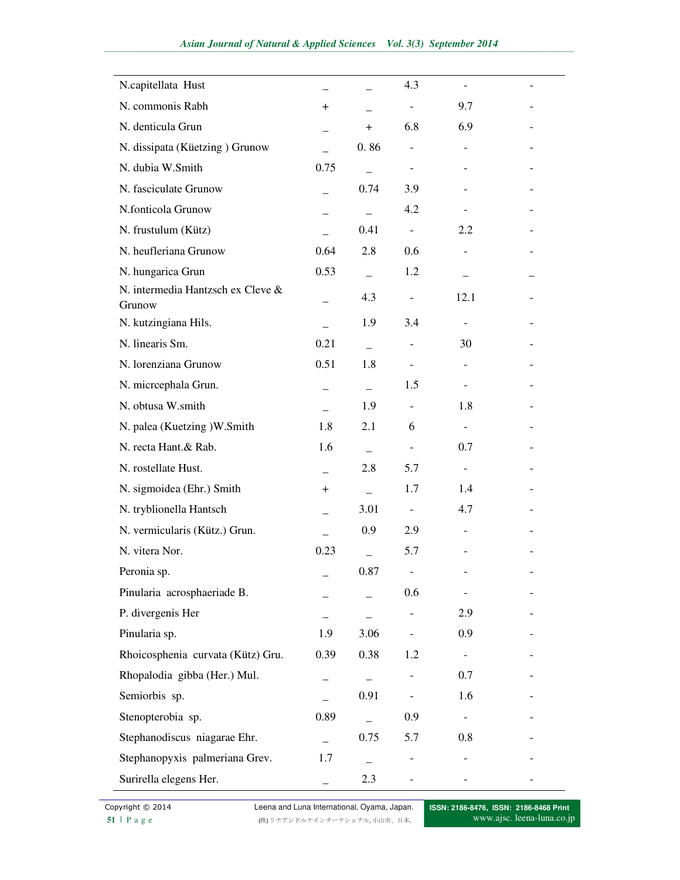| N.capitellata Hust                          |       |           | 4.3                          |                          |  |
|---------------------------------------------|-------|-----------|------------------------------|--------------------------|--|
| N. commonis Rabh                            | $\pm$ |           | $\overline{\phantom{a}}$     | 9.7                      |  |
| N. denticula Grun                           |       | $\ddot{}$ | 6.8                          | 6.9                      |  |
| N. dissipata (Küetzing) Grunow              |       | 0.86      | $\qquad \qquad \blacksquare$ | $\overline{\phantom{a}}$ |  |
| N. dubia W.Smith                            | 0.75  |           | $\overline{\phantom{a}}$     |                          |  |
| N. fasciculate Grunow                       |       | 0.74      | 3.9                          |                          |  |
| N.fonticola Grunow                          |       |           | 4.2                          |                          |  |
| N. frustulum (Kütz)                         |       | 0.41      | $\overline{\phantom{a}}$     | 2.2                      |  |
| N. heufleriana Grunow                       | 0.64  | 2.8       | 0.6                          | $\overline{\phantom{a}}$ |  |
| N. hungarica Grun                           | 0.53  |           | 1.2                          |                          |  |
| N. intermedia Hantzsch ex Cleve &<br>Grunow |       | 4.3       | $\overline{\phantom{0}}$     | 12.1                     |  |
| N. kutzingiana Hils.                        |       | 1.9       | 3.4                          |                          |  |
| N. linearis Sm.                             | 0.21  |           |                              | 30                       |  |
| N. lorenziana Grunow                        | 0.51  | 1.8       | $\overline{\phantom{a}}$     | $\overline{a}$           |  |
| N. micrcephala Grun.                        |       |           | 1.5                          |                          |  |
| N. obtusa W.smith                           |       | 1.9       | $\overline{\phantom{a}}$     | 1.8                      |  |
| N. palea (Kuetzing )W.Smith                 | 1.8   | 2.1       | 6                            | $\blacksquare$           |  |
| N. recta Hant.& Rab.                        | 1.6   |           | $\overline{\phantom{a}}$     | 0.7                      |  |
| N. rostellate Hust.                         |       | 2.8       | 5.7                          | $\overline{\phantom{a}}$ |  |
| N. sigmoidea (Ehr.) Smith                   | $^+$  |           | 1.7                          | 1.4                      |  |
| N. tryblionella Hantsch                     |       | 3.01      | $\overline{\phantom{a}}$     | 4.7                      |  |
| N. vermicularis (Kütz.) Grun.               |       | 0.9       | 2.9                          |                          |  |
| N. vitera Nor.                              | 0.23  |           | 5.7                          |                          |  |
| Peronia sp.                                 |       | 0.87      |                              |                          |  |
| Pinularia acrosphaeriade B.                 |       |           | 0.6                          |                          |  |
| P. divergenis Her                           |       |           |                              | 2.9                      |  |
| Pinularia sp.                               | 1.9   | 3.06      |                              | 0.9                      |  |
| Rhoicosphenia curvata (Kütz) Gru.           | 0.39  | 0.38      | 1.2                          | $\blacksquare$           |  |
| Rhopalodia gibba (Her.) Mul.                | —     |           |                              | 0.7                      |  |
| Semiorbis sp.                               |       | 0.91      | $\overline{\phantom{a}}$     | 1.6                      |  |
| Stenopterobia sp.                           | 0.89  |           | 0.9                          |                          |  |
| Stephanodiscus niagarae Ehr.                |       | 0.75      | 5.7                          | 0.8                      |  |
| Stephanopyxis palmeriana Grev.              | 1.7   |           |                              |                          |  |
| Surirella elegens Her.                      |       | 2.3       |                              |                          |  |

**Copyright © 2014** Leena and Luna International, Oyama, Japan.<br>
51 | P a g e  $(\n\# y + \n\# z) + \n\# z$ **51** | P a g e (株) リナアンドルナインターナショナル, 小山市、日本.